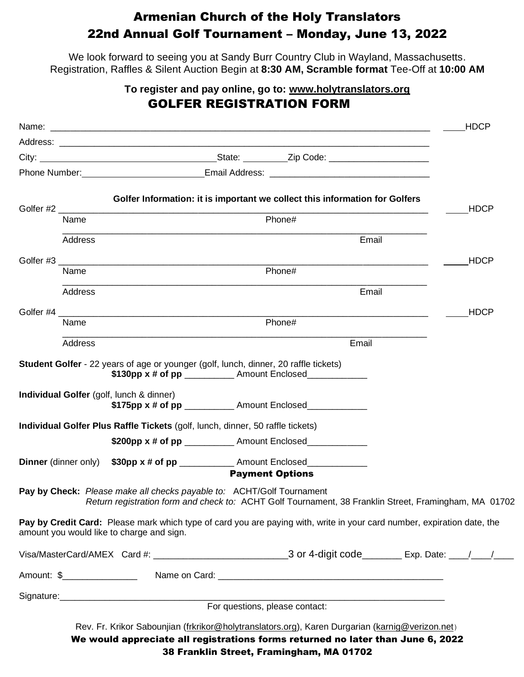## Armenian Church of the Holy Translators 22nd Annual Golf Tournament – Monday, June 13, 2022

We look forward to seeing you at Sandy Burr Country Club in Wayland, Massachusetts. Registration, Raffles & Silent Auction Begin at **8:30 AM, Scramble format** Tee-Off at **10:00 AM**

## **To register and pay online, go to: [www.holytranslators.org](http://www.holytranslators.org/)** GOLFER REGISTRATION FORM

|                  |                |                                           |                                                                                                                                                                                                                                | <b>HDCP</b> |
|------------------|----------------|-------------------------------------------|--------------------------------------------------------------------------------------------------------------------------------------------------------------------------------------------------------------------------------|-------------|
|                  |                |                                           |                                                                                                                                                                                                                                |             |
|                  |                |                                           |                                                                                                                                                                                                                                |             |
|                  |                |                                           |                                                                                                                                                                                                                                |             |
|                  |                |                                           | Golfer Information: it is important we collect this information for Golfers                                                                                                                                                    |             |
| Golfer #2 ______ | Name           |                                           | Phone#                                                                                                                                                                                                                         | <b>HDCP</b> |
|                  | <b>Address</b> |                                           | Email                                                                                                                                                                                                                          |             |
|                  |                |                                           |                                                                                                                                                                                                                                | <b>HDCP</b> |
|                  | Name           |                                           | Phone#                                                                                                                                                                                                                         |             |
|                  | Address        |                                           | Email                                                                                                                                                                                                                          |             |
|                  |                |                                           |                                                                                                                                                                                                                                | <b>HDCP</b> |
|                  | Name           |                                           | Phone#                                                                                                                                                                                                                         |             |
|                  | <b>Address</b> |                                           | Email                                                                                                                                                                                                                          |             |
|                  |                |                                           | Student Golfer - 22 years of age or younger (golf, lunch, dinner, 20 raffle tickets)<br>\$130pp x # of pp ____________ Amount Enclosed_____________                                                                            |             |
|                  |                | Individual Golfer (golf, lunch & dinner)  | \$175pp x # of pp ____________ Amount Enclosed_____________                                                                                                                                                                    |             |
|                  |                |                                           | Individual Golfer Plus Raffle Tickets (golf, lunch, dinner, 50 raffle tickets)                                                                                                                                                 |             |
|                  |                |                                           | \$200pp x # of pp ____________ Amount Enclosed____________                                                                                                                                                                     |             |
|                  |                |                                           | Dinner (dinner only) \$30pp x # of pp _____________ Amount Enclosed_____________<br><b>Payment Options</b>                                                                                                                     |             |
|                  |                |                                           |                                                                                                                                                                                                                                |             |
|                  |                |                                           | Pay by Check: Please make all checks payable to: ACHT/Golf Tournament<br>Return registration form and check to: ACHT Golf Tournament, 38 Franklin Street, Framingham, MA 01702                                                 |             |
|                  |                | amount you would like to charge and sign. | Pay by Credit Card: Please mark which type of card you are paying with, write in your card number, expiration date, the                                                                                                        |             |
|                  |                |                                           |                                                                                                                                                                                                                                |             |
|                  |                |                                           |                                                                                                                                                                                                                                |             |
|                  |                |                                           | Signature: Signature: Signature: Signature: Signature: Signature: Signature: Signature: Signature: Signature: Signature: Signature: Signature: Signature: Signature: Signature: Signature: Signature: Signature: Signature: Si |             |
|                  |                |                                           |                                                                                                                                                                                                                                |             |
|                  |                |                                           | Rev. Fr. Krikor Sabounjian (frkrikor@holytranslators.org), Karen Durgarian (karnig@verizon.net)                                                                                                                                |             |
|                  |                |                                           | We would appreciate all registrations forms returned no later than June 6, 2022                                                                                                                                                |             |

38 Franklin Street, Framingham, MA 01702